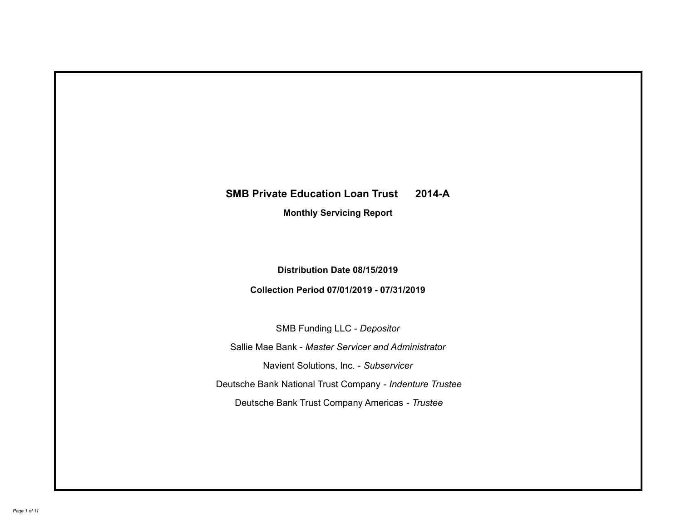# **SMB Private Education Loan Trust 2014-A Monthly Servicing Report**

# **Distribution Date 08/15/2019**

# **Collection Period 07/01/2019 - 07/31/2019**

SMB Funding LLC - *Depositor*

Sallie Mae Bank - *Master Servicer and Administrator*

Navient Solutions, Inc. - *Subservicer*

Deutsche Bank National Trust Company - *Indenture Trustee*

Deutsche Bank Trust Company Americas - *Trustee*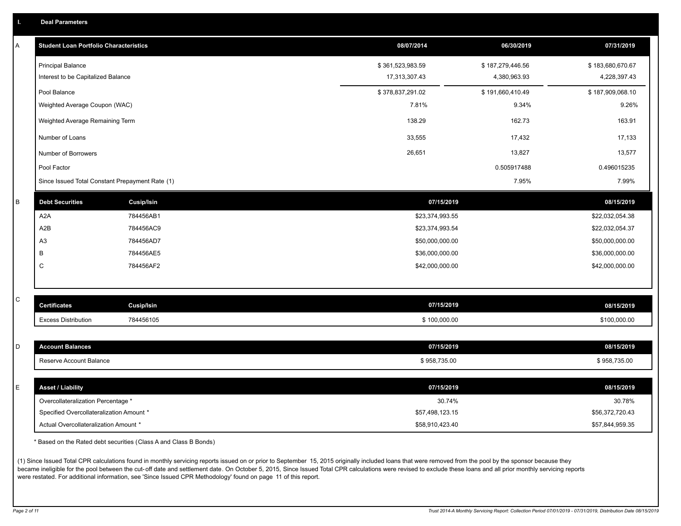| <b>Deal Parameters</b> |
|------------------------|
|------------------------|

| Α       | <b>Student Loan Portfolio Characteristics</b>   |                   | 08/07/2014       | 06/30/2019       | 07/31/2019       |
|---------|-------------------------------------------------|-------------------|------------------|------------------|------------------|
|         | <b>Principal Balance</b>                        |                   | \$361,523,983.59 | \$187,279,446.56 | \$183,680,670.67 |
|         | Interest to be Capitalized Balance              |                   | 17,313,307.43    | 4,380,963.93     | 4,228,397.43     |
|         | Pool Balance                                    |                   | \$378,837,291.02 | \$191,660,410.49 | \$187,909,068.10 |
|         | Weighted Average Coupon (WAC)                   |                   | 7.81%            | 9.34%            | 9.26%            |
|         | Weighted Average Remaining Term                 |                   | 138.29           | 162.73           | 163.91           |
|         | Number of Loans                                 |                   | 33,555           | 17,432           | 17,133           |
|         | Number of Borrowers                             |                   | 26,651           | 13,827           | 13,577           |
|         | Pool Factor                                     |                   |                  | 0.505917488      | 0.496015235      |
|         | Since Issued Total Constant Prepayment Rate (1) |                   |                  | 7.95%            | 7.99%            |
| $\sf B$ | <b>Debt Securities</b>                          | <b>Cusip/Isin</b> | 07/15/2019       |                  | 08/15/2019       |
|         | A <sub>2</sub> A                                | 784456AB1         | \$23,374,993.55  |                  | \$22,032,054.38  |
|         | A <sub>2</sub> B                                | 784456AC9         | \$23,374,993.54  |                  | \$22,032,054.37  |
|         | A3                                              | 784456AD7         | \$50,000,000.00  |                  | \$50,000,000.00  |
|         | B                                               | 784456AE5         | \$36,000,000.00  |                  | \$36,000,000.00  |
|         | C                                               | 784456AF2         | \$42,000,000.00  |                  | \$42,000,000.00  |
|         |                                                 |                   |                  |                  |                  |
| C       | <b>Certificates</b>                             | Cusip/Isin        | 07/15/2019       |                  | 08/15/2019       |
|         | <b>Excess Distribution</b>                      | 784456105         | \$100,000.00     |                  | \$100,000.00     |
|         |                                                 |                   |                  |                  |                  |
| D       | <b>Account Balances</b>                         |                   | 07/15/2019       |                  | 08/15/2019       |
|         | Reserve Account Balance                         |                   | \$958,735.00     |                  | \$958,735.00     |
|         |                                                 |                   |                  |                  |                  |
| E       | <b>Asset / Liability</b>                        |                   | 07/15/2019       |                  | 08/15/2019       |
|         | Overcollateralization Percentage *              |                   | 30.74%           |                  | 30.78%           |
|         | Specified Overcollateralization Amount *        |                   | \$57,498,123.15  |                  | \$56,372,720.43  |
|         | Actual Overcollateralization Amount *           |                   | \$58,910,423.40  |                  | \$57,844,959.35  |

\* Based on the Rated debt securities (Class A and Class B Bonds)

(1) Since Issued Total CPR calculations found in monthly servicing reports issued on or prior to September 15, 2015 originally included loans that were removed from the pool by the sponsor because they became ineligible for the pool between the cut-off date and settlement date. On October 5, 2015, Since Issued Total CPR calculations were revised to exclude these loans and all prior monthly servicing reports were restated. For additional information, see 'Since Issued CPR Methodology' found on page 11 of this report.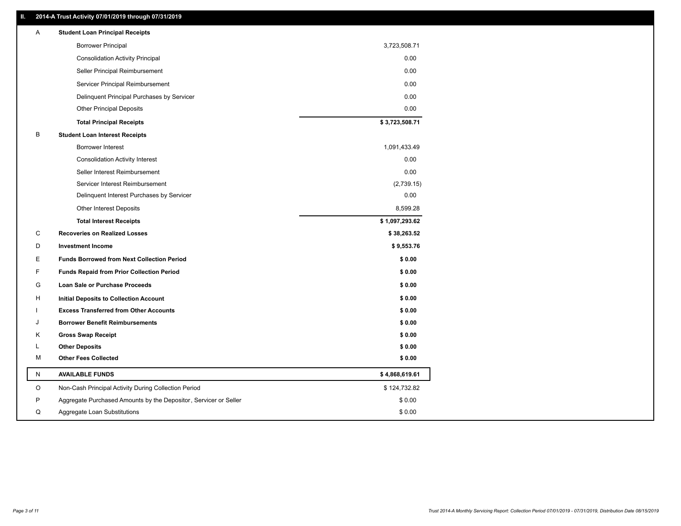### **II. 2014-A Trust Activity 07/01/2019 through 07/31/2019**

| Α | <b>Student Loan Principal Receipts</b>                           |                |  |
|---|------------------------------------------------------------------|----------------|--|
|   | <b>Borrower Principal</b>                                        | 3,723,508.71   |  |
|   | <b>Consolidation Activity Principal</b>                          | 0.00           |  |
|   | Seller Principal Reimbursement                                   | 0.00           |  |
|   | Servicer Principal Reimbursement                                 | 0.00           |  |
|   | Delinquent Principal Purchases by Servicer                       | 0.00           |  |
|   | <b>Other Principal Deposits</b>                                  | 0.00           |  |
|   | <b>Total Principal Receipts</b>                                  | \$3,723,508.71 |  |
| В | <b>Student Loan Interest Receipts</b>                            |                |  |
|   | Borrower Interest                                                | 1,091,433.49   |  |
|   | <b>Consolidation Activity Interest</b>                           | 0.00           |  |
|   | Seller Interest Reimbursement                                    | 0.00           |  |
|   | Servicer Interest Reimbursement                                  | (2,739.15)     |  |
|   | Delinquent Interest Purchases by Servicer                        | 0.00           |  |
|   | <b>Other Interest Deposits</b>                                   | 8,599.28       |  |
|   | <b>Total Interest Receipts</b>                                   | \$1,097,293.62 |  |
| C | <b>Recoveries on Realized Losses</b>                             | \$38,263.52    |  |
| D | <b>Investment Income</b>                                         | \$9,553.76     |  |
| Ε | <b>Funds Borrowed from Next Collection Period</b>                | \$0.00         |  |
| F | <b>Funds Repaid from Prior Collection Period</b>                 | \$0.00         |  |
| G | Loan Sale or Purchase Proceeds                                   | \$0.00         |  |
| H | Initial Deposits to Collection Account                           | \$0.00         |  |
|   | <b>Excess Transferred from Other Accounts</b>                    | \$0.00         |  |
| J | <b>Borrower Benefit Reimbursements</b>                           | \$0.00         |  |
| Κ | <b>Gross Swap Receipt</b>                                        | \$0.00         |  |
| L | <b>Other Deposits</b>                                            | \$0.00         |  |
| м | <b>Other Fees Collected</b>                                      | \$0.00         |  |
| N | <b>AVAILABLE FUNDS</b>                                           | \$4,868,619.61 |  |
| O | Non-Cash Principal Activity During Collection Period             | \$124,732.82   |  |
| P | Aggregate Purchased Amounts by the Depositor, Servicer or Seller | \$0.00         |  |
| Q | Aggregate Loan Substitutions                                     | \$0.00         |  |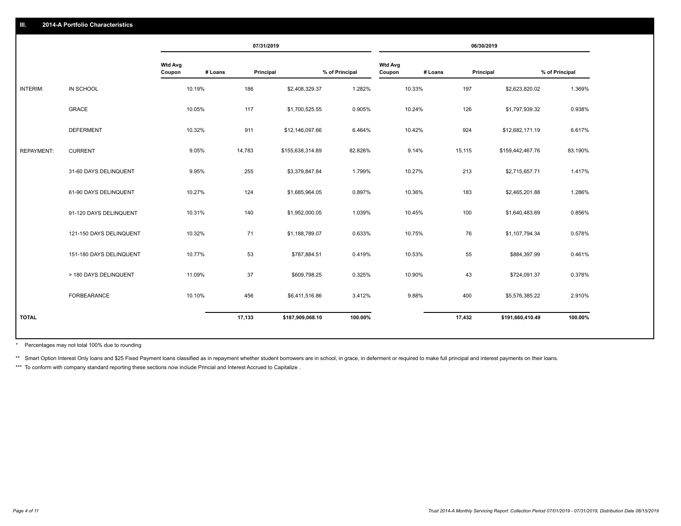|                   |                         |                          |         | 07/31/2019 |                  |                |                          |         | 06/30/2019 |                  |                |
|-------------------|-------------------------|--------------------------|---------|------------|------------------|----------------|--------------------------|---------|------------|------------------|----------------|
|                   |                         | <b>Wtd Avg</b><br>Coupon | # Loans | Principal  |                  | % of Principal | <b>Wtd Avg</b><br>Coupon | # Loans | Principal  |                  | % of Principal |
| INTERIM:          | IN SCHOOL               |                          | 10.19%  | 186        | \$2,408,329.37   | 1.282%         |                          | 10.33%  | 197        | \$2,623,820.02   | 1.369%         |
|                   | <b>GRACE</b>            |                          | 10.05%  | 117        | \$1,700,525.55   | 0.905%         |                          | 10.24%  | 126        | \$1,797,939.32   | 0.938%         |
|                   | <b>DEFERMENT</b>        |                          | 10.32%  | 911        | \$12,146,097.66  | 6.464%         |                          | 10.42%  | 924        | \$12,682,171.19  | 6.617%         |
| <b>REPAYMENT:</b> | <b>CURRENT</b>          |                          | 9.05%   | 14,783     | \$155,638,314.89 | 82.826%        |                          | 9.14%   | 15,115     | \$159,442,467.76 | 83.190%        |
|                   | 31-60 DAYS DELINQUENT   |                          | 9.95%   | 255        | \$3,379,847.84   | 1.799%         |                          | 10.27%  | 213        | \$2,715,657.71   | 1.417%         |
|                   | 61-90 DAYS DELINQUENT   |                          | 10.27%  | 124        | \$1,685,964.05   | 0.897%         |                          | 10.36%  | 183        | \$2,465,201.88   | 1.286%         |
|                   | 91-120 DAYS DELINQUENT  |                          | 10.31%  | 140        | \$1,952,000.05   | 1.039%         |                          | 10.45%  | 100        | \$1,640,483.69   | 0.856%         |
|                   | 121-150 DAYS DELINQUENT |                          | 10.32%  | 71         | \$1,188,789.07   | 0.633%         |                          | 10.75%  | 76         | \$1,107,794.34   | 0.578%         |
|                   | 151-180 DAYS DELINQUENT |                          | 10.77%  | 53         | \$787,884.51     | 0.419%         |                          | 10.53%  | 55         | \$884,397.99     | 0.461%         |
|                   | > 180 DAYS DELINQUENT   |                          | 11.09%  | 37         | \$609,798.25     | 0.325%         |                          | 10.90%  | 43         | \$724,091.37     | 0.378%         |
|                   | FORBEARANCE             |                          | 10.10%  | 456        | \$6,411,516.86   | 3.412%         |                          | 9.88%   | 400        | \$5,576,385.22   | 2.910%         |
| <b>TOTAL</b>      |                         |                          |         | 17,133     | \$187,909,068.10 | 100.00%        |                          |         | 17,432     | \$191,660,410.49 | 100.00%        |
|                   |                         |                          |         |            |                  |                |                          |         |            |                  |                |

Percentages may not total 100% due to rounding \*

\*\* Smart Option Interest Only loans and \$25 Fixed Payment loans classified as in repayment whether student borrowers are in school, in grace, in deferment or required to make full principal and interest payments on their l

\*\*\* To conform with company standard reporting these sections now include Princial and Interest Accrued to Capitalize.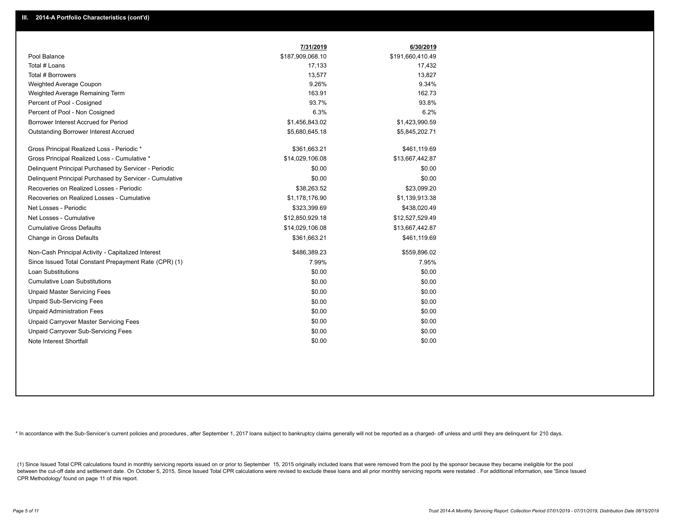|                                                         | 7/31/2019        | 6/30/2019        |
|---------------------------------------------------------|------------------|------------------|
| Pool Balance                                            | \$187,909,068.10 | \$191,660,410.49 |
| Total # Loans                                           | 17,133           | 17,432           |
| Total # Borrowers                                       | 13,577           | 13,827           |
| Weighted Average Coupon                                 | 9.26%            | 9.34%            |
| Weighted Average Remaining Term                         | 163.91           | 162.73           |
| Percent of Pool - Cosigned                              | 93.7%            | 93.8%            |
| Percent of Pool - Non Cosigned                          | 6.3%             | 6.2%             |
| Borrower Interest Accrued for Period                    | \$1,456,843.02   | \$1,423,990.59   |
| Outstanding Borrower Interest Accrued                   | \$5,680,645.18   | \$5,845,202.71   |
| Gross Principal Realized Loss - Periodic *              | \$361,663.21     | \$461,119.69     |
| Gross Principal Realized Loss - Cumulative *            | \$14,029,106.08  | \$13,667,442.87  |
| Delinquent Principal Purchased by Servicer - Periodic   | \$0.00           | \$0.00           |
| Delinguent Principal Purchased by Servicer - Cumulative | \$0.00           | \$0.00           |
| Recoveries on Realized Losses - Periodic                | \$38,263.52      | \$23,099.20      |
| Recoveries on Realized Losses - Cumulative              | \$1,178,176.90   | \$1,139,913.38   |
| Net Losses - Periodic                                   | \$323,399.69     | \$438,020.49     |
| Net Losses - Cumulative                                 | \$12,850,929.18  | \$12,527,529.49  |
| <b>Cumulative Gross Defaults</b>                        | \$14,029,106.08  | \$13,667,442.87  |
| Change in Gross Defaults                                | \$361,663.21     | \$461,119.69     |
| Non-Cash Principal Activity - Capitalized Interest      | \$486,389.23     | \$559,896.02     |
| Since Issued Total Constant Prepayment Rate (CPR) (1)   | 7.99%            | 7.95%            |
| <b>Loan Substitutions</b>                               | \$0.00           | \$0.00           |
| <b>Cumulative Loan Substitutions</b>                    | \$0.00           | \$0.00           |
| <b>Unpaid Master Servicing Fees</b>                     | \$0.00           | \$0.00           |
| <b>Unpaid Sub-Servicing Fees</b>                        | \$0.00           | \$0.00           |
| <b>Unpaid Administration Fees</b>                       | \$0.00           | \$0.00           |
| Unpaid Carryover Master Servicing Fees                  | \$0.00           | \$0.00           |
| Unpaid Carryover Sub-Servicing Fees                     | \$0.00           | \$0.00           |
| Note Interest Shortfall                                 | \$0.00           | \$0.00           |

\* In accordance with the Sub-Servicer's current policies and procedures, after September 1, 2017 loans subject to bankruptcy claims generally will not be reported as a charged- off unless and until they are delinquent for

(1) Since Issued Total CPR calculations found in monthly servicing reports issued on or prior to September 15, 2015 originally included loans that were removed from the pool by the sponsor because they became ineligible fo between the cut-off date and settlement date. On October 5, 2015, Since Issued Total CPR calculations were revised to exclude these loans and all prior monthly servicing reports were restated. For additional information, s CPR Methodology' found on page 11 of this report.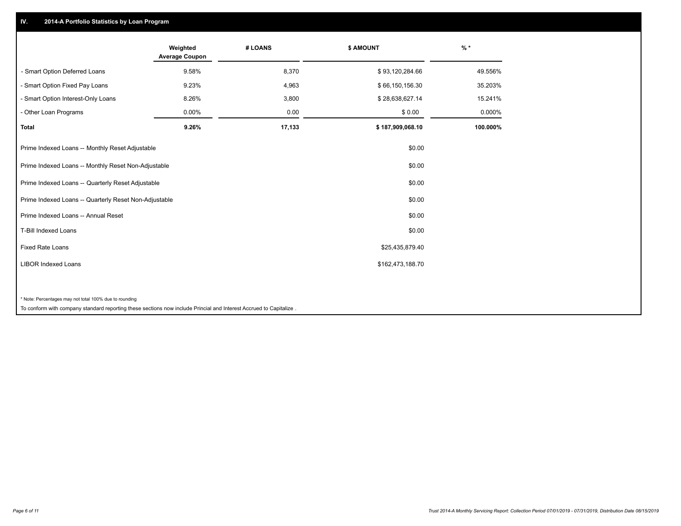## **IV. 2014-A Portfolio Statistics by Loan Program**

|                                                        | Weighted<br><b>Average Coupon</b> | # LOANS | <b>\$ AMOUNT</b> | $%$ *    |
|--------------------------------------------------------|-----------------------------------|---------|------------------|----------|
| - Smart Option Deferred Loans                          | 9.58%                             | 8,370   | \$93,120,284.66  | 49.556%  |
| - Smart Option Fixed Pay Loans                         | 9.23%                             | 4,963   | \$66,150,156.30  | 35.203%  |
| - Smart Option Interest-Only Loans                     | 8.26%                             | 3,800   | \$28,638,627.14  | 15.241%  |
| - Other Loan Programs                                  | 0.00%                             | 0.00    | \$0.00           | 0.000%   |
| <b>Total</b>                                           | 9.26%                             | 17,133  | \$187,909,068.10 | 100.000% |
| Prime Indexed Loans -- Monthly Reset Adjustable        |                                   |         | \$0.00           |          |
| Prime Indexed Loans -- Monthly Reset Non-Adjustable    |                                   |         | \$0.00           |          |
| Prime Indexed Loans -- Quarterly Reset Adjustable      |                                   |         | \$0.00           |          |
| Prime Indexed Loans -- Quarterly Reset Non-Adjustable  |                                   |         | \$0.00           |          |
| Prime Indexed Loans -- Annual Reset                    |                                   |         | \$0.00           |          |
| <b>T-Bill Indexed Loans</b>                            |                                   |         | \$0.00           |          |
| <b>Fixed Rate Loans</b>                                |                                   |         | \$25,435,879.40  |          |
| <b>LIBOR Indexed Loans</b>                             |                                   |         | \$162,473,188.70 |          |
|                                                        |                                   |         |                  |          |
| * Note: Percentages may not total 100% due to rounding |                                   |         |                  |          |

To conform with company standard reporting these sections now include Princial and Interest Accrued to Capitalize .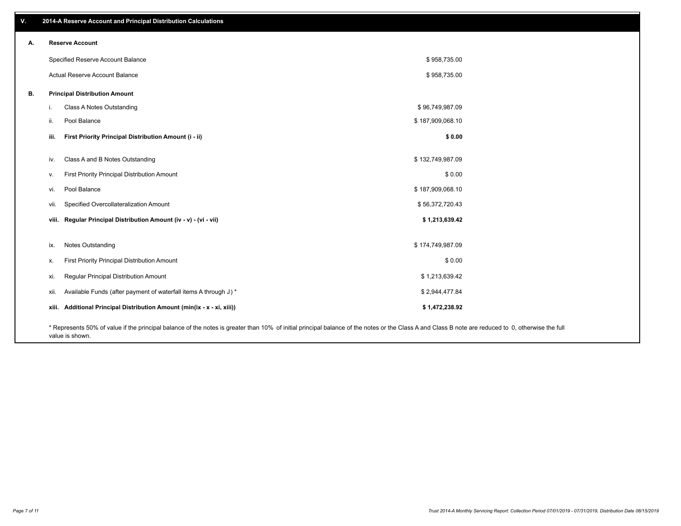| v. | 2014-A Reserve Account and Principal Distribution Calculations                                                                                                                                     |                  |  |
|----|----------------------------------------------------------------------------------------------------------------------------------------------------------------------------------------------------|------------------|--|
| А. | <b>Reserve Account</b>                                                                                                                                                                             |                  |  |
|    | Specified Reserve Account Balance                                                                                                                                                                  | \$958,735.00     |  |
|    | Actual Reserve Account Balance                                                                                                                                                                     | \$958,735.00     |  |
| В. | <b>Principal Distribution Amount</b>                                                                                                                                                               |                  |  |
|    | Class A Notes Outstanding<br>i.                                                                                                                                                                    | \$96,749,987.09  |  |
|    | Pool Balance<br>ii.                                                                                                                                                                                | \$187,909,068.10 |  |
|    | First Priority Principal Distribution Amount (i - ii)<br>iii.                                                                                                                                      | \$0.00           |  |
|    | Class A and B Notes Outstanding<br>iv.                                                                                                                                                             | \$132,749,987.09 |  |
|    | First Priority Principal Distribution Amount<br>v.                                                                                                                                                 | \$0.00           |  |
|    | Pool Balance<br>vi.                                                                                                                                                                                | \$187,909,068.10 |  |
|    | Specified Overcollateralization Amount<br>vii.                                                                                                                                                     | \$56,372,720.43  |  |
|    | viii. Regular Principal Distribution Amount (iv - v) - (vi - vii)                                                                                                                                  | \$1,213,639.42   |  |
|    |                                                                                                                                                                                                    |                  |  |
|    | Notes Outstanding<br>ix.                                                                                                                                                                           | \$174,749,987.09 |  |
|    | First Priority Principal Distribution Amount<br>х.                                                                                                                                                 | \$0.00           |  |
|    | Regular Principal Distribution Amount<br>xi.                                                                                                                                                       | \$1,213,639.42   |  |
|    | Available Funds (after payment of waterfall items A through J) *<br>xii.                                                                                                                           | \$2,944,477.84   |  |
|    | xiii. Additional Principal Distribution Amount (min(ix - x - xi, xiii))                                                                                                                            | \$1,472,238.92   |  |
|    | * Represents 50% of value if the principal balance of the notes is greater than 10% of initial principal balance of the notes or the Class A and Class B note are reduced to 0, otherwise the full |                  |  |

value is shown.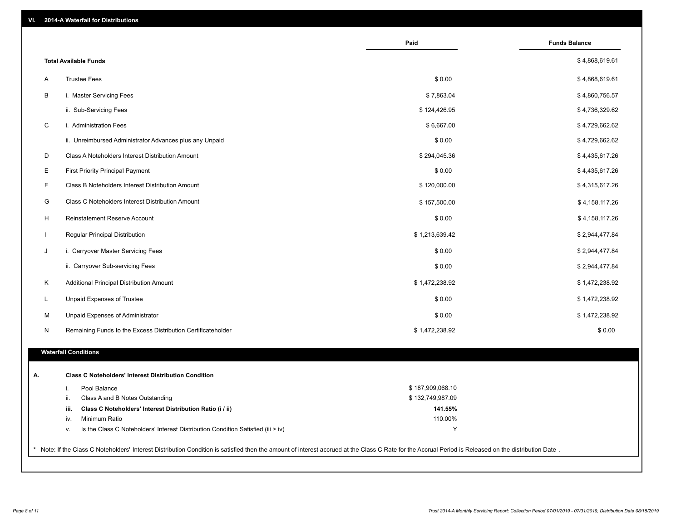|              |                                                                                                                                                                                                     | Paid             | <b>Funds Balance</b> |
|--------------|-----------------------------------------------------------------------------------------------------------------------------------------------------------------------------------------------------|------------------|----------------------|
|              | <b>Total Available Funds</b>                                                                                                                                                                        |                  | \$4,868,619.61       |
| Α            | <b>Trustee Fees</b>                                                                                                                                                                                 | \$0.00           | \$4,868,619.61       |
| В            | i. Master Servicing Fees                                                                                                                                                                            | \$7,863.04       | \$4,860,756.57       |
|              | ii. Sub-Servicing Fees                                                                                                                                                                              | \$124,426.95     | \$4,736,329.62       |
| $\mathsf C$  | i. Administration Fees                                                                                                                                                                              | \$6,667.00       | \$4,729,662.62       |
|              | ii. Unreimbursed Administrator Advances plus any Unpaid                                                                                                                                             | \$0.00           | \$4,729,662.62       |
| D            | Class A Noteholders Interest Distribution Amount                                                                                                                                                    | \$294,045.36     | \$4,435,617.26       |
| Е            | <b>First Priority Principal Payment</b>                                                                                                                                                             | \$0.00           | \$4,435,617.26       |
| F            | Class B Noteholders Interest Distribution Amount                                                                                                                                                    | \$120,000.00     | \$4,315,617.26       |
| G            | Class C Noteholders Interest Distribution Amount                                                                                                                                                    | \$157,500.00     | \$4,158,117.26       |
| H            | Reinstatement Reserve Account                                                                                                                                                                       | \$0.00           | \$4,158,117.26       |
| $\mathbf{I}$ | Regular Principal Distribution                                                                                                                                                                      | \$1,213,639.42   | \$2,944,477.84       |
| J            | i. Carryover Master Servicing Fees                                                                                                                                                                  | \$0.00           | \$2,944,477.84       |
|              | ii. Carryover Sub-servicing Fees                                                                                                                                                                    | \$0.00           | \$2,944,477.84       |
| Κ            | Additional Principal Distribution Amount                                                                                                                                                            | \$1,472,238.92   | \$1,472,238.92       |
| L.           | Unpaid Expenses of Trustee                                                                                                                                                                          | \$0.00           | \$1,472,238.92       |
| M            | Unpaid Expenses of Administrator                                                                                                                                                                    | \$0.00           | \$1,472,238.92       |
| N            | Remaining Funds to the Excess Distribution Certificateholder                                                                                                                                        | \$1,472,238.92   | \$0.00               |
|              | <b>Waterfall Conditions</b>                                                                                                                                                                         |                  |                      |
|              |                                                                                                                                                                                                     |                  |                      |
| Α.           | <b>Class C Noteholders' Interest Distribution Condition</b>                                                                                                                                         |                  |                      |
|              | Pool Balance<br>i.                                                                                                                                                                                  | \$187,909,068.10 |                      |
|              | Class A and B Notes Outstanding<br>ii.                                                                                                                                                              | \$132,749,987.09 |                      |
|              | Class C Noteholders' Interest Distribution Ratio (i / ii)<br>iii.                                                                                                                                   | 141.55%          |                      |
|              | Minimum Ratio<br>iv.                                                                                                                                                                                | 110.00%          |                      |
|              | Is the Class C Noteholders' Interest Distribution Condition Satisfied (iii > iv)<br>٧.                                                                                                              | Υ                |                      |
|              | Note: If the Class C Noteholders' Interest Distribution Condition is satisfied then the amount of interest accrued at the Class C Rate for the Accrual Period is Released on the distribution Date. |                  |                      |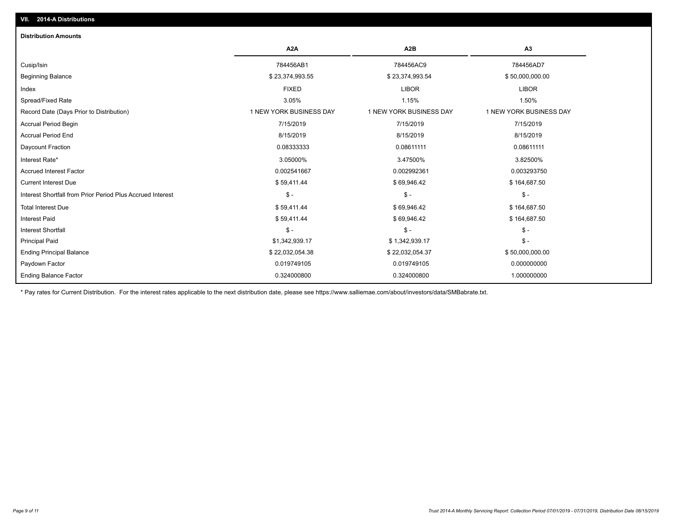| <b>Distribution Amounts</b>                                |                         |                         |                         |
|------------------------------------------------------------|-------------------------|-------------------------|-------------------------|
|                                                            | A <sub>2</sub> A        | A <sub>2</sub> B        | A3                      |
| Cusip/Isin                                                 | 784456AB1               | 784456AC9               | 784456AD7               |
| <b>Beginning Balance</b>                                   | \$23,374,993.55         | \$23,374,993.54         | \$50,000,000.00         |
| Index                                                      | <b>FIXED</b>            | <b>LIBOR</b>            | <b>LIBOR</b>            |
| Spread/Fixed Rate                                          | 3.05%                   | 1.15%                   | 1.50%                   |
| Record Date (Days Prior to Distribution)                   | 1 NEW YORK BUSINESS DAY | 1 NEW YORK BUSINESS DAY | 1 NEW YORK BUSINESS DAY |
| Accrual Period Begin                                       | 7/15/2019               | 7/15/2019               | 7/15/2019               |
| <b>Accrual Period End</b>                                  | 8/15/2019               | 8/15/2019               | 8/15/2019               |
| Daycount Fraction                                          | 0.08333333              | 0.08611111              | 0.08611111              |
| Interest Rate*                                             | 3.05000%                | 3.47500%                | 3.82500%                |
| <b>Accrued Interest Factor</b>                             | 0.002541667             | 0.002992361             | 0.003293750             |
| <b>Current Interest Due</b>                                | \$59,411.44             | \$69,946.42             | \$164,687.50            |
| Interest Shortfall from Prior Period Plus Accrued Interest | $$ -$                   | $\mathsf{\$}$ -         | $\mathsf{\$}$ -         |
| <b>Total Interest Due</b>                                  | \$59,411.44             | \$69,946.42             | \$164,687.50            |
| <b>Interest Paid</b>                                       | \$59,411.44             | \$69,946.42             | \$164,687.50            |
| <b>Interest Shortfall</b>                                  | $$ -$                   | $\mathsf{\$}$ .         | $\frac{1}{2}$ -         |
| <b>Principal Paid</b>                                      | \$1,342,939.17          | \$1,342,939.17          | $$ -$                   |
| <b>Ending Principal Balance</b>                            | \$22,032,054.38         | \$22,032,054.37         | \$50,000,000.00         |
| Paydown Factor                                             | 0.019749105             | 0.019749105             | 0.000000000             |
| <b>Ending Balance Factor</b>                               | 0.324000800             | 0.324000800             | 1.000000000             |

\* Pay rates for Current Distribution. For the interest rates applicable to the next distribution date, please see https://www.salliemae.com/about/investors/data/SMBabrate.txt.

**VII. 2014-A Distributions**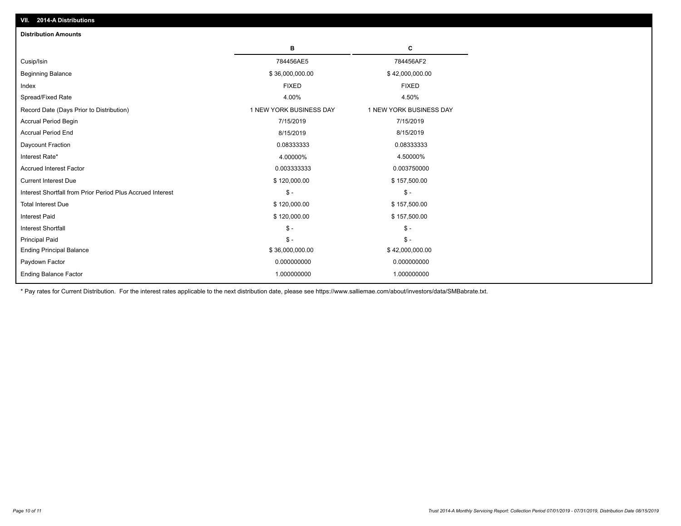| <b>Distribution Amounts</b>                                |                         |                         |
|------------------------------------------------------------|-------------------------|-------------------------|
|                                                            | в                       | C                       |
| Cusip/Isin                                                 | 784456AE5               | 784456AF2               |
| <b>Beginning Balance</b>                                   | \$36,000,000.00         | \$42,000,000.00         |
| Index                                                      | <b>FIXED</b>            | <b>FIXED</b>            |
| Spread/Fixed Rate                                          | 4.00%                   | 4.50%                   |
| Record Date (Days Prior to Distribution)                   | 1 NEW YORK BUSINESS DAY | 1 NEW YORK BUSINESS DAY |
| Accrual Period Begin                                       | 7/15/2019               | 7/15/2019               |
| <b>Accrual Period End</b>                                  | 8/15/2019               | 8/15/2019               |
| Daycount Fraction                                          | 0.08333333              | 0.08333333              |
| Interest Rate*                                             | 4.00000%                | 4.50000%                |
| <b>Accrued Interest Factor</b>                             | 0.003333333             | 0.003750000             |
| <b>Current Interest Due</b>                                | \$120,000.00            | \$157,500.00            |
| Interest Shortfall from Prior Period Plus Accrued Interest | $\mathsf{\$}$ -         | $\mathsf{\$}$ -         |
| <b>Total Interest Due</b>                                  | \$120,000.00            | \$157,500.00            |
| <b>Interest Paid</b>                                       | \$120,000.00            | \$157,500.00            |
| <b>Interest Shortfall</b>                                  | $\mathcal{S}$ -         | $\frac{1}{2}$           |
| <b>Principal Paid</b>                                      | $\mathbb{S}$ -          | $\mathsf{\$}$ -         |
| <b>Ending Principal Balance</b>                            | \$36,000,000.00         | \$42,000,000.00         |
| Paydown Factor                                             | 0.000000000             | 0.000000000             |
| <b>Ending Balance Factor</b>                               | 1.000000000             | 1.000000000             |

\* Pay rates for Current Distribution. For the interest rates applicable to the next distribution date, please see https://www.salliemae.com/about/investors/data/SMBabrate.txt.

**VII. 2014-A Distributions**